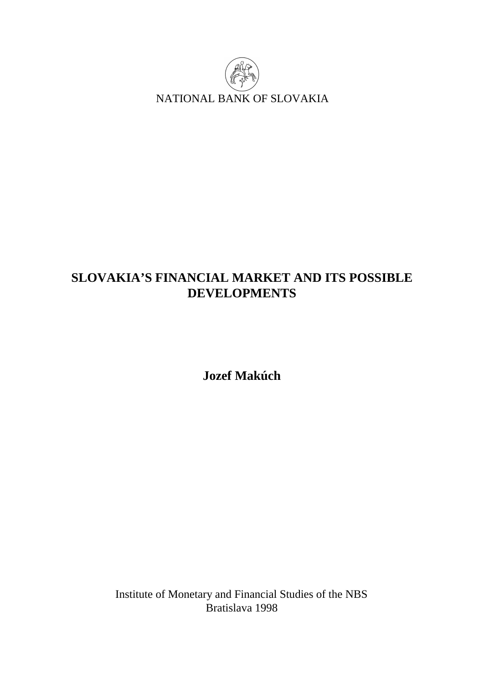

# **SLOVAKIA'S FINANCIAL MARKET AND ITS POSSIBLE DEVELOPMENTS**

**Jozef Makúch** 

Institute of Monetary and Financial Studies of the NBS Bratislava 1998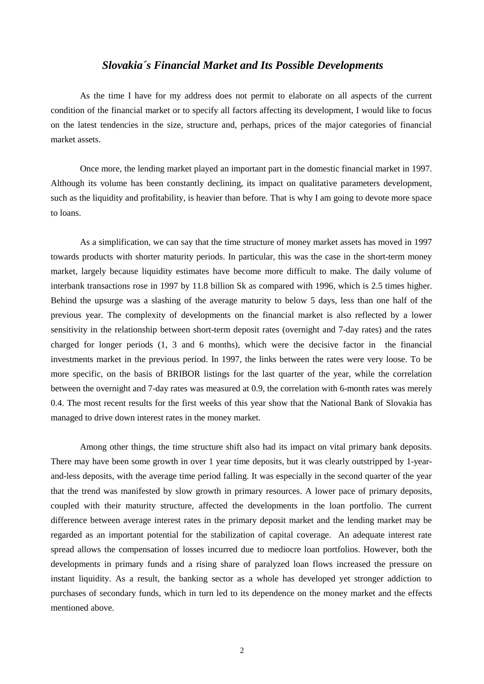# *Slovakia´s Financial Market and Its Possible Developments*

As the time I have for my address does not permit to elaborate on all aspects of the current condition of the financial market or to specify all factors affecting its development, I would like to focus on the latest tendencies in the size, structure and, perhaps, prices of the major categories of financial market assets.

Once more, the lending market played an important part in the domestic financial market in 1997. Although its volume has been constantly declining, its impact on qualitative parameters development, such as the liquidity and profitability, is heavier than before. That is why I am going to devote more space to loans.

As a simplification, we can say that the time structure of money market assets has moved in 1997 towards products with shorter maturity periods. In particular, this was the case in the short-term money market, largely because liquidity estimates have become more difficult to make. The daily volume of interbank transactions rose in 1997 by 11.8 billion Sk as compared with 1996, which is 2.5 times higher. Behind the upsurge was a slashing of the average maturity to below 5 days, less than one half of the previous year. The complexity of developments on the financial market is also reflected by a lower sensitivity in the relationship between short-term deposit rates (overnight and 7-day rates) and the rates charged for longer periods (1, 3 and 6 months), which were the decisive factor in the financial investments market in the previous period. In 1997, the links between the rates were very loose. To be more specific, on the basis of BRIBOR listings for the last quarter of the year, while the correlation between the overnight and 7-day rates was measured at 0.9, the correlation with 6-month rates was merely 0.4. The most recent results for the first weeks of this year show that the National Bank of Slovakia has managed to drive down interest rates in the money market.

Among other things, the time structure shift also had its impact on vital primary bank deposits. There may have been some growth in over 1 year time deposits, but it was clearly outstripped by 1-yearand-less deposits, with the average time period falling. It was especially in the second quarter of the year that the trend was manifested by slow growth in primary resources. A lower pace of primary deposits, coupled with their maturity structure, affected the developments in the loan portfolio. The current difference between average interest rates in the primary deposit market and the lending market may be regarded as an important potential for the stabilization of capital coverage. An adequate interest rate spread allows the compensation of losses incurred due to mediocre loan portfolios. However, both the developments in primary funds and a rising share of paralyzed loan flows increased the pressure on instant liquidity. As a result, the banking sector as a whole has developed yet stronger addiction to purchases of secondary funds, which in turn led to its dependence on the money market and the effects mentioned above.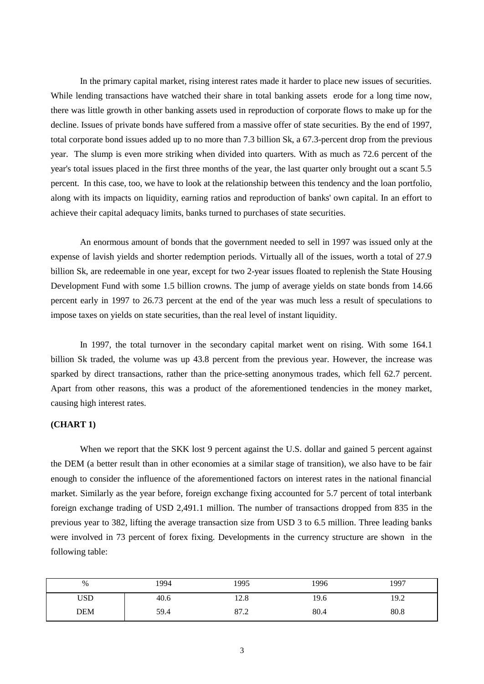In the primary capital market, rising interest rates made it harder to place new issues of securities. While lending transactions have watched their share in total banking assets erode for a long time now, there was little growth in other banking assets used in reproduction of corporate flows to make up for the decline. Issues of private bonds have suffered from a massive offer of state securities. By the end of 1997, total corporate bond issues added up to no more than 7.3 billion Sk, a 67.3-percent drop from the previous year. The slump is even more striking when divided into quarters. With as much as 72.6 percent of the year's total issues placed in the first three months of the year, the last quarter only brought out a scant 5.5 percent. In this case, too, we have to look at the relationship between this tendency and the loan portfolio, along with its impacts on liquidity, earning ratios and reproduction of banks' own capital. In an effort to achieve their capital adequacy limits, banks turned to purchases of state securities.

An enormous amount of bonds that the government needed to sell in 1997 was issued only at the expense of lavish yields and shorter redemption periods. Virtually all of the issues, worth a total of 27.9 billion Sk, are redeemable in one year, except for two 2-year issues floated to replenish the State Housing Development Fund with some 1.5 billion crowns. The jump of average yields on state bonds from 14.66 percent early in 1997 to 26.73 percent at the end of the year was much less a result of speculations to impose taxes on yields on state securities, than the real level of instant liquidity.

In 1997, the total turnover in the secondary capital market went on rising. With some 164.1 billion Sk traded, the volume was up 43.8 percent from the previous year. However, the increase was sparked by direct transactions, rather than the price-setting anonymous trades, which fell 62.7 percent. Apart from other reasons, this was a product of the aforementioned tendencies in the money market, causing high interest rates.

#### **(CHART 1)**

When we report that the SKK lost 9 percent against the U.S. dollar and gained 5 percent against the DEM (a better result than in other economies at a similar stage of transition), we also have to be fair enough to consider the influence of the aforementioned factors on interest rates in the national financial market. Similarly as the year before, foreign exchange fixing accounted for 5.7 percent of total interbank foreign exchange trading of USD 2,491.1 million. The number of transactions dropped from 835 in the previous year to 382, lifting the average transaction size from USD 3 to 6.5 million. Three leading banks were involved in 73 percent of forex fixing. Developments in the currency structure are shown in the following table:

| %          | 1994 | 1995 | 1996 | 1997 |
|------------|------|------|------|------|
| USD        | 40.6 | 12.8 | 19.6 | 19.2 |
| <b>DEM</b> | 59.4 | 87.2 | 80.4 | 80.8 |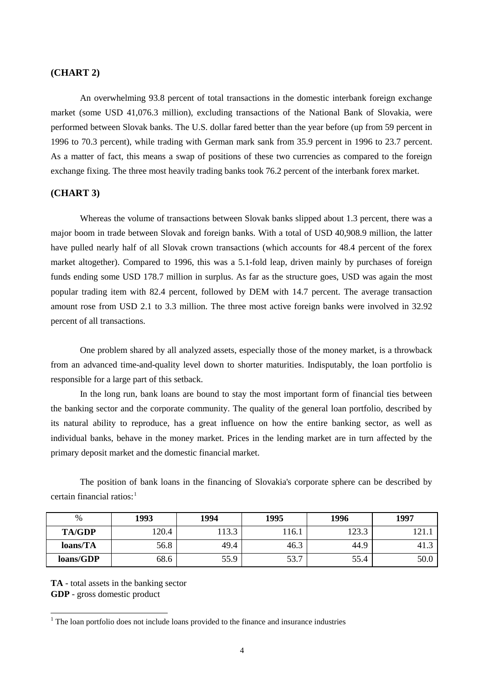#### **(CHART 2)**

An overwhelming 93.8 percent of total transactions in the domestic interbank foreign exchange market (some USD 41,076.3 million), excluding transactions of the National Bank of Slovakia, were performed between Slovak banks. The U.S. dollar fared better than the year before (up from 59 percent in 1996 to 70.3 percent), while trading with German mark sank from 35.9 percent in 1996 to 23.7 percent. As a matter of fact, this means a swap of positions of these two currencies as compared to the foreign exchange fixing. The three most heavily trading banks took 76.2 percent of the interbank forex market.

### **(CHART 3)**

Whereas the volume of transactions between Slovak banks slipped about 1.3 percent, there was a major boom in trade between Slovak and foreign banks. With a total of USD 40,908.9 million, the latter have pulled nearly half of all Slovak crown transactions (which accounts for 48.4 percent of the forex market altogether). Compared to 1996, this was a 5.1-fold leap, driven mainly by purchases of foreign funds ending some USD 178.7 million in surplus. As far as the structure goes, USD was again the most popular trading item with 82.4 percent, followed by DEM with 14.7 percent. The average transaction amount rose from USD 2.1 to 3.3 million. The three most active foreign banks were involved in 32.92 percent of all transactions.

One problem shared by all analyzed assets, especially those of the money market, is a throwback from an advanced time-and-quality level down to shorter maturities. Indisputably, the loan portfolio is responsible for a large part of this setback.

In the long run, bank loans are bound to stay the most important form of financial ties between the banking sector and the corporate community. The quality of the general loan portfolio, described by its natural ability to reproduce, has a great influence on how the entire banking sector, as well as individual banks, behave in the money market. Prices in the lending market are in turn affected by the primary deposit market and the domestic financial market.

The position of bank loans in the financing of Slovakia's corporate sphere can be described by certain financial ratios: $<sup>1</sup>$ </sup>

| $\%$          | 1993  | 1994  | 1995  | 1996  | 1997  |
|---------------|-------|-------|-------|-------|-------|
| <b>TA/GDP</b> | 120.4 | 113.3 | 116.1 | 123.3 | 121.1 |
| loans/TA      | 56.8  | 49.4  | 46.3  | 44.9  | 41.3  |
| loans/GDP     | 68.6  | 55.9  | 53.7  | 55.4  | 50.0  |

**TA** - total assets in the banking sector **GDP** - gross domestic product

l

 $1$  The loan portfolio does not include loans provided to the finance and insurance industries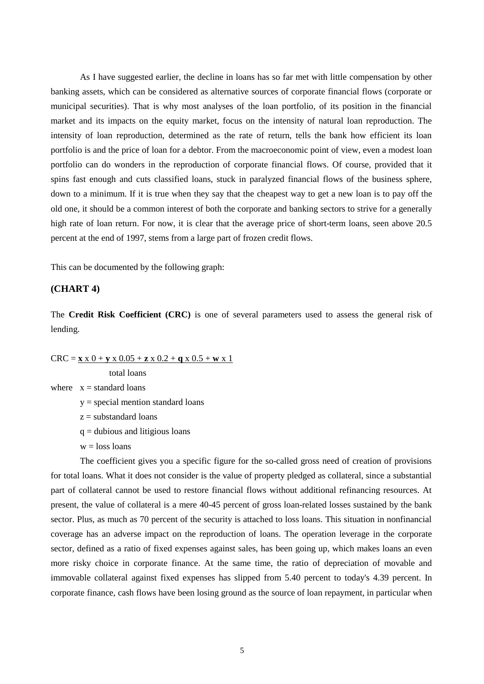As I have suggested earlier, the decline in loans has so far met with little compensation by other banking assets, which can be considered as alternative sources of corporate financial flows (corporate or municipal securities). That is why most analyses of the loan portfolio, of its position in the financial market and its impacts on the equity market, focus on the intensity of natural loan reproduction. The intensity of loan reproduction, determined as the rate of return, tells the bank how efficient its loan portfolio is and the price of loan for a debtor. From the macroeconomic point of view, even a modest loan portfolio can do wonders in the reproduction of corporate financial flows. Of course, provided that it spins fast enough and cuts classified loans, stuck in paralyzed financial flows of the business sphere, down to a minimum. If it is true when they say that the cheapest way to get a new loan is to pay off the old one, it should be a common interest of both the corporate and banking sectors to strive for a generally high rate of loan return. For now, it is clear that the average price of short-term loans, seen above 20.5 percent at the end of 1997, stems from a large part of frozen credit flows.

This can be documented by the following graph:

## **(CHART 4)**

The **Credit Risk Coefficient (CRC)** is one of several parameters used to assess the general risk of lending.

 $CRC = x \times 0 + y \times 0.05 + z \times 0.2 + q \times 0.5 + w \times 1$ 

total loans

- where  $x =$  standard loans
	- y = special mention standard loans
	- $z =$  substandard loans
	- $q =$  dubious and litigious loans
	- $w =$ loss loans

The coefficient gives you a specific figure for the so-called gross need of creation of provisions for total loans. What it does not consider is the value of property pledged as collateral, since a substantial part of collateral cannot be used to restore financial flows without additional refinancing resources. At present, the value of collateral is a mere 40-45 percent of gross loan-related losses sustained by the bank sector. Plus, as much as 70 percent of the security is attached to loss loans. This situation in nonfinancial coverage has an adverse impact on the reproduction of loans. The operation leverage in the corporate sector, defined as a ratio of fixed expenses against sales, has been going up, which makes loans an even more risky choice in corporate finance. At the same time, the ratio of depreciation of movable and immovable collateral against fixed expenses has slipped from 5.40 percent to today's 4.39 percent. In corporate finance, cash flows have been losing ground as the source of loan repayment, in particular when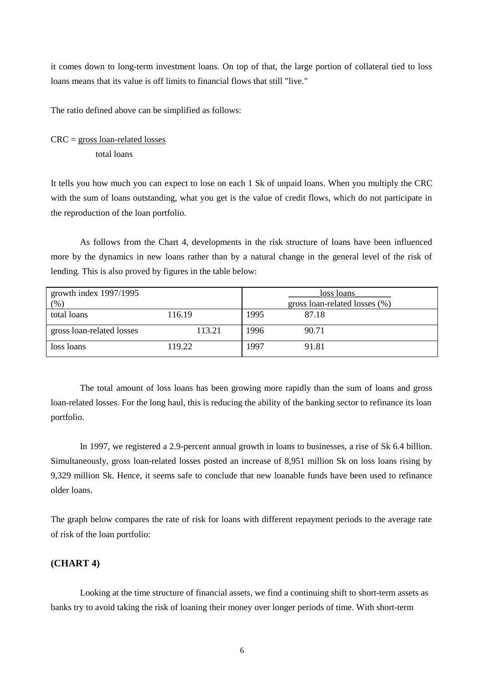it comes down to long-term investment loans. On top of that, the large portion of collateral tied to loss loans means that its value is off limits to financial flows that still "live."

The ratio defined above can be simplified as follows:

 $CRC = gross loan-related losses$ total loans

It tells you how much you can expect to lose on each 1 Sk of unpaid loans. When you multiply the CRC with the sum of loans outstanding, what you get is the value of credit flows, which do not participate in the reproduction of the loan portfolio.

As follows from the Chart 4, developments in the risk structure of loans have been influenced more by the dynamics in new loans rather than by a natural change in the general level of the risk of lending. This is also proved by figures in the table below:

| growth index $1997/1995$  |        |      | loss loans                    |
|---------------------------|--------|------|-------------------------------|
| $(\%)$                    |        |      | gross loan-related losses (%) |
| total loans               | 116.19 | 1995 | 87.18                         |
| gross loan-related losses | 113.21 | 1996 | 90.71                         |
| loss loans                | 119.22 | 1997 | 91.81                         |

The total amount of loss loans has been growing more rapidly than the sum of loans and gross loan-related losses. For the long haul, this is reducing the ability of the banking sector to refinance its loan portfolio.

In 1997, we registered a 2.9-percent annual growth in loans to businesses, a rise of Sk 6.4 billion. Simultaneously, gross loan-related losses posted an increase of 8,951 million Sk on loss loans rising by 9,329 million Sk. Hence, it seems safe to conclude that new loanable funds have been used to refinance older loans.

The graph below compares the rate of risk for loans with different repayment periods to the average rate of risk of the loan portfolio:

## **(CHART 4)**

Looking at the time structure of financial assets, we find a continuing shift to short-term assets as banks try to avoid taking the risk of loaning their money over longer periods of time. With short-term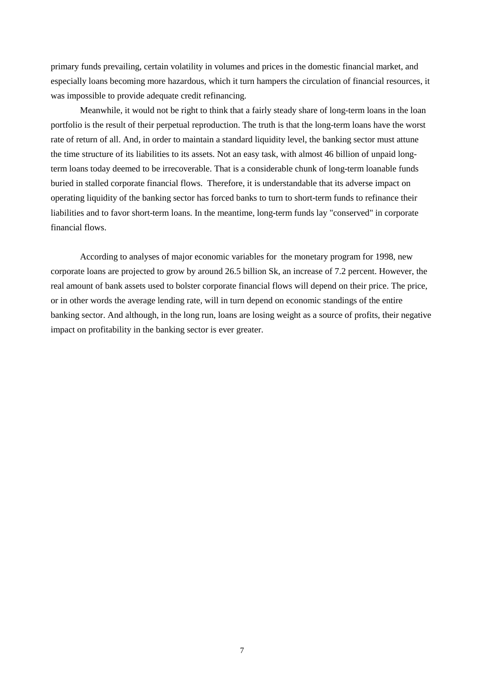primary funds prevailing, certain volatility in volumes and prices in the domestic financial market, and especially loans becoming more hazardous, which it turn hampers the circulation of financial resources, it was impossible to provide adequate credit refinancing.

Meanwhile, it would not be right to think that a fairly steady share of long-term loans in the loan portfolio is the result of their perpetual reproduction. The truth is that the long-term loans have the worst rate of return of all. And, in order to maintain a standard liquidity level, the banking sector must attune the time structure of its liabilities to its assets. Not an easy task, with almost 46 billion of unpaid longterm loans today deemed to be irrecoverable. That is a considerable chunk of long-term loanable funds buried in stalled corporate financial flows. Therefore, it is understandable that its adverse impact on operating liquidity of the banking sector has forced banks to turn to short-term funds to refinance their liabilities and to favor short-term loans. In the meantime, long-term funds lay "conserved" in corporate financial flows.

According to analyses of major economic variables for the monetary program for 1998, new corporate loans are projected to grow by around 26.5 billion Sk, an increase of 7.2 percent. However, the real amount of bank assets used to bolster corporate financial flows will depend on their price. The price, or in other words the average lending rate, will in turn depend on economic standings of the entire banking sector. And although, in the long run, loans are losing weight as a source of profits, their negative impact on profitability in the banking sector is ever greater.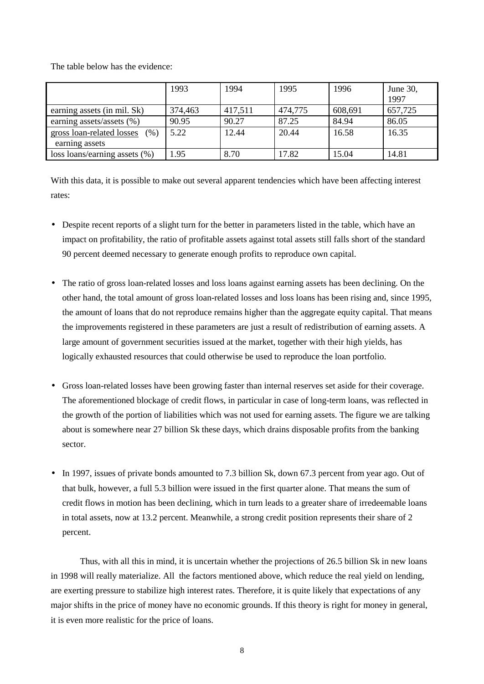The table below has the evidence:

|                                   | 1993    | 1994    | 1995    | 1996    | June 30,<br>1997 |
|-----------------------------------|---------|---------|---------|---------|------------------|
| earning assets (in mil. Sk)       | 374,463 | 417,511 | 474,775 | 608,691 | 657,725          |
| earning assets/assets (%)         | 90.95   | 90.27   | 87.25   | 84.94   | 86.05            |
| gross loan-related losses<br>(% ) | 5.22    | 12.44   | 20.44   | 16.58   | 16.35            |
| earning assets                    |         |         |         |         |                  |
| loss loans/earning assets $(\%)$  | 1.95    | 8.70    | 17.82   | 15.04   | 14.81            |

With this data, it is possible to make out several apparent tendencies which have been affecting interest rates:

- Despite recent reports of a slight turn for the better in parameters listed in the table, which have an impact on profitability, the ratio of profitable assets against total assets still falls short of the standard 90 percent deemed necessary to generate enough profits to reproduce own capital.
- The ratio of gross loan-related losses and loss loans against earning assets has been declining. On the other hand, the total amount of gross loan-related losses and loss loans has been rising and, since 1995, the amount of loans that do not reproduce remains higher than the aggregate equity capital. That means the improvements registered in these parameters are just a result of redistribution of earning assets. A large amount of government securities issued at the market, together with their high yields, has logically exhausted resources that could otherwise be used to reproduce the loan portfolio.
- Gross loan-related losses have been growing faster than internal reserves set aside for their coverage. The aforementioned blockage of credit flows, in particular in case of long-term loans, was reflected in the growth of the portion of liabilities which was not used for earning assets. The figure we are talking about is somewhere near 27 billion Sk these days, which drains disposable profits from the banking sector.
- In 1997, issues of private bonds amounted to 7.3 billion Sk, down 67.3 percent from year ago. Out of that bulk, however, a full 5.3 billion were issued in the first quarter alone. That means the sum of credit flows in motion has been declining, which in turn leads to a greater share of irredeemable loans in total assets, now at 13.2 percent. Meanwhile, a strong credit position represents their share of 2 percent.

Thus, with all this in mind, it is uncertain whether the projections of 26.5 billion Sk in new loans in 1998 will really materialize. All the factors mentioned above, which reduce the real yield on lending, are exerting pressure to stabilize high interest rates. Therefore, it is quite likely that expectations of any major shifts in the price of money have no economic grounds. If this theory is right for money in general, it is even more realistic for the price of loans.